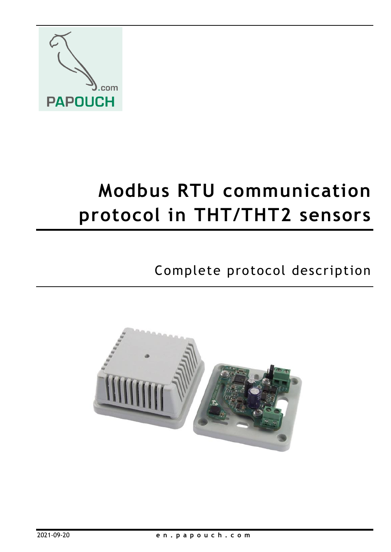

# **Modbus RTU communication protocol in THT/THT2 sensors**

# Complete protocol description

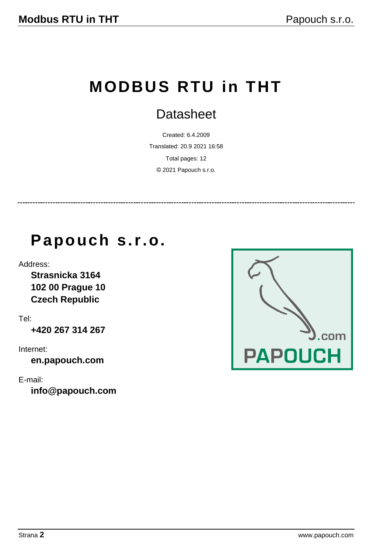# **MODBUS RTU in THT**

## **Datasheet**

Created: 6.4.2009 Translated: 20.9 2021 16:58 Total pages: 12 © 2021 Papouch s.r.o.

# **Papouch s.r.o.**

Address:

**Strasnicka 3164 102 00 Prague 10 Czech Republic**

Tel:

**+420 267 314 267**

Internet:

**en.papouch.com**

E-mail:

**[info@papouch.com](mailto:papouch@papouch.com)**

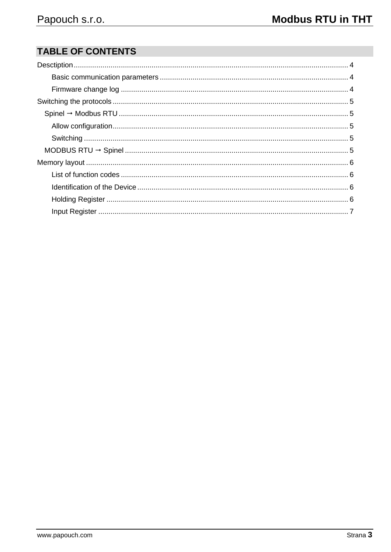## **TABLE OF CONTENTS**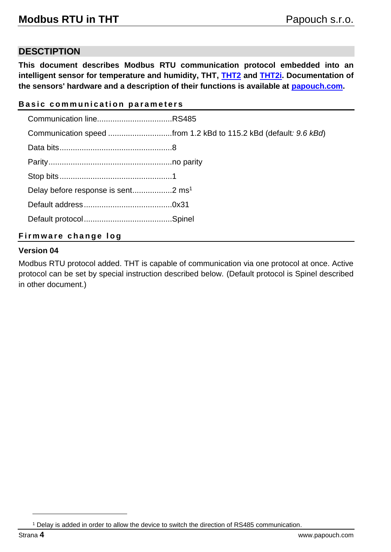### <span id="page-3-0"></span>**DESCTIPTION**

**This document describes Modbus RTU communication protocol embedded into an intelligent sensor for temperature and humidity, THT, [THT2](https://en.papouch.com/tht2-rs485-thermometer-and-hygrometer-p2204/) and [THT2i.](https://en.papouch.com/tht2-i-interior-thermometer-and-hygrometer-p2910/) Documentation of the sensors' hardware and a description of their functions is available at [papouch.com.](http://www.papouch.com/)**

#### <span id="page-3-1"></span>**Basic communication parameters**

| Communication speed from 1.2 kBd to 115.2 kBd (default: 9.6 kBd) |
|------------------------------------------------------------------|
|                                                                  |
|                                                                  |
|                                                                  |
|                                                                  |
|                                                                  |
|                                                                  |
|                                                                  |

#### <span id="page-3-2"></span>**Firmware change log**

#### **Version 04**

Modbus RTU protocol added. THT is capable of communication via one protocol at once. Active protocol can be set by special instruction described below. (Default protocol is Spinel described in other document.)

<sup>1</sup> Delay is added in order to allow the device to switch the direction of RS485 communication.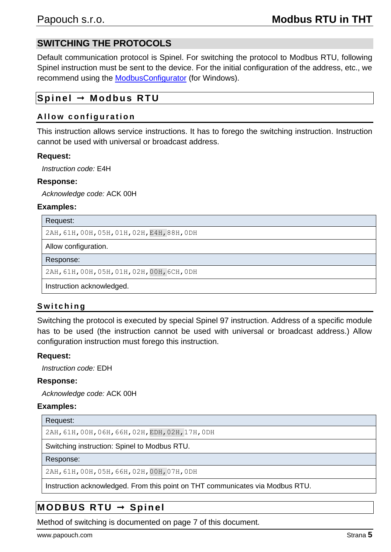## <span id="page-4-0"></span>**SWITCHING THE PROTOCOLS**

Default communication protocol is Spinel. For switching the protocol to Modbus RTU, following Spinel instruction must be sent to the device. For the initial configuration of the address, etc., we recommend using the [ModbusConfigurator](https://en.papouch.com/modbus-configurator-protocol-switching-utility-p4051/) (for Windows).

### <span id="page-4-1"></span>**Sp i n el Modbu s RTU**

#### <span id="page-4-2"></span>**Allow configuration**

This instruction allows service instructions. It has to forego the switching instruction. Instruction cannot be used with universal or broadcast address.

#### **Request:**

*Instruction code:* E4H

#### **Response:**

*Acknowledge code:* ACK 00H

#### **Examples:**

Request:

2AH,61H,00H,05H,01H,02H,E4H,88H,0DH

Allow configuration.

Response:

2AH,61H,00H,05H,01H,02H,00H,6CH,0DH

Instruction acknowledged.

#### <span id="page-4-3"></span>**S w i t c h i n g**

Switching the protocol is executed by special Spinel 97 instruction. Address of a specific module has to be used (the instruction cannot be used with universal or broadcast address.) Allow configuration instruction must forego this instruction.

#### **Request:**

*Instruction code:* EDH

#### **Response:**

*Acknowledge code:* ACK 00H

#### **Examples:**

Request:

2AH,61H,00H,06H,66H,02H,EDH,02H,17H,0DH

Switching instruction: Spinel to Modbus RTU.

#### Response:

2AH,61H,00H,05H,66H,02H,00H,07H,0DH

Instruction acknowledged. From this point on THT communicates via Modbus RTU.

## <span id="page-4-4"></span>**M OD B U S R T U Sp i n el**

Method of switching is documented on page [7](#page-6-0) of this document.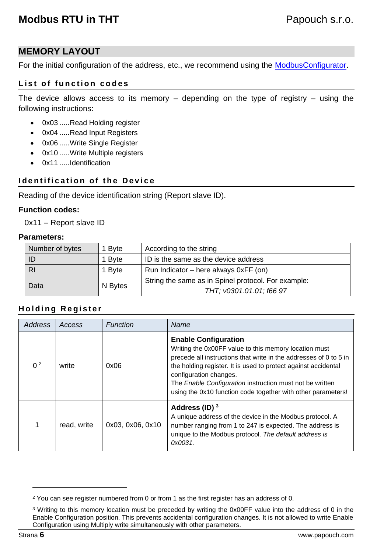## <span id="page-5-0"></span>**MEMORY LAYOUT**

For the initial configuration of the address, etc., we recommend using the [ModbusConfigurator.](https://en.papouch.com/modbus-configurator-protocol-switching-utility-p4051/)

#### <span id="page-5-1"></span>List of function codes

The device allows access to its memory  $-$  depending on the type of registry  $-$  using the following instructions:

- 0x03 .....Read Holding register
- 0x04 .....Read Input Registers
- 0x06 .....Write Single Register
- 0x10 .....Write Multiple registers
- 0x11 .....Identification

#### <span id="page-5-2"></span>**Identification of the Device**

Reading of the device identification string (Report slave ID).

#### **Function codes:**

0x11 – Report slave ID

#### **Parameters:**

| Number of bytes | 1 Byte  | According to the string                             |  |
|-----------------|---------|-----------------------------------------------------|--|
| ID              | 1 Byte  | ID is the same as the device address                |  |
| <b>RI</b>       | 1 Byte  | Run Indicator – here always $0xFF$ (on)             |  |
| Data            | N Bytes | String the same as in Spinel protocol. For example: |  |
|                 |         | THT; v0301.01.01; f66 97                            |  |

#### <span id="page-5-3"></span>**H o l d i n g R e g i s t e r**

<span id="page-5-5"></span>

| Address        | Access      | Function         | Name                                                                                                                                                                                                                                                                                                                                                                              |
|----------------|-------------|------------------|-----------------------------------------------------------------------------------------------------------------------------------------------------------------------------------------------------------------------------------------------------------------------------------------------------------------------------------------------------------------------------------|
| 0 <sup>2</sup> | write       | 0x06             | <b>Enable Configuration</b><br>Writing the 0x00FF value to this memory location must<br>precede all instructions that write in the addresses of 0 to 5 in<br>the holding register. It is used to protect against accidental<br>configuration changes.<br>The Enable Configuration instruction must not be written<br>using the 0x10 function code together with other parameters! |
|                | read, write | 0x03, 0x06, 0x10 | Address (ID) $3$<br>A unique address of the device in the Modbus protocol. A<br>number ranging from 1 to 247 is expected. The address is<br>unique to the Modbus protocol. The default address is<br>0x0031.                                                                                                                                                                      |

<span id="page-5-4"></span> $2$  You can see register numbered from 0 or from 1 as the first register has an address of 0.

<sup>&</sup>lt;sup>3</sup> Writing to this memory location must be preceded by writing the 0x00FF value into the address of 0 in the Enable Configuration position. This prevents accidental configuration changes. It is not allowed to write Enable Configuration using Multiply write simultaneously with other parameters.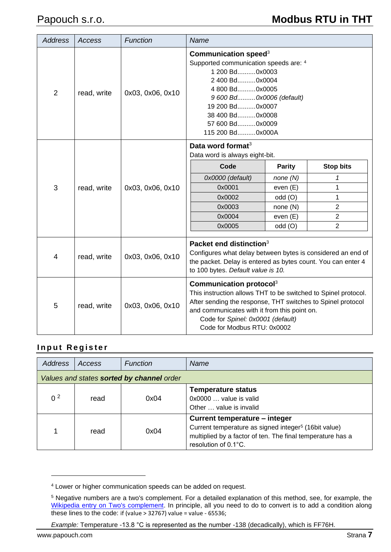| <b>Address</b> | Access      | Function                                                                                                                                                                                                                     | Name                                                                                                                                                                                                                                                                                     |                                                                                    |                                                                                     |
|----------------|-------------|------------------------------------------------------------------------------------------------------------------------------------------------------------------------------------------------------------------------------|------------------------------------------------------------------------------------------------------------------------------------------------------------------------------------------------------------------------------------------------------------------------------------------|------------------------------------------------------------------------------------|-------------------------------------------------------------------------------------|
| 2              | read, write | 0x03, 0x06, 0x10                                                                                                                                                                                                             | Communication speed $3$<br>Supported communication speeds are: 4<br>1 200 Bd0x0003<br>2 400 Bd0x0004<br>4800 Bd0x0005<br>9 600 Bd 0x0006 (default)<br>19 200 Bd0x0007<br>38 400 Bd0x0008<br>57 600 Bd0x0009<br>115 200 Bd 0x000A                                                         |                                                                                    |                                                                                     |
| 3              | read, write | 0x03, 0x06, 0x10                                                                                                                                                                                                             | Data word format <sup>3</sup><br>Data word is always eight-bit.<br>Code<br>0x0000 (default)<br>0x0001<br>0x0002<br>0x0003<br>0x0004<br>0x0005                                                                                                                                            | <b>Parity</b><br>none(N)<br>even (E)<br>odd (O)<br>none (N)<br>even (E)<br>odd (O) | <b>Stop bits</b><br>1<br>1<br>$\mathbf{1}$<br>$\overline{2}$<br>$\overline{2}$<br>2 |
| 4              | read, write | Packet end distinction <sup>3</sup><br>Configures what delay between bytes is considered an end of<br>0x03, 0x06, 0x10<br>the packet. Delay is entered as bytes count. You can enter 4<br>to 100 bytes. Default value is 10. |                                                                                                                                                                                                                                                                                          |                                                                                    |                                                                                     |
| 5              | read, write | 0x03, 0x06, 0x10                                                                                                                                                                                                             | Communication protocol <sup>3</sup><br>This instruction allows THT to be switched to Spinel protocol.<br>After sending the response, THT switches to Spinel protocol<br>and communicates with it from this point on.<br>Code for Spinel: 0x0001 (default)<br>Code for Modbus RTU: 0x0002 |                                                                                    |                                                                                     |

#### <span id="page-6-0"></span>**Input Register**

| <b>Address</b> | Access                                    | Function<br>Name |                                                                                                                                                                                                   |  |  |
|----------------|-------------------------------------------|------------------|---------------------------------------------------------------------------------------------------------------------------------------------------------------------------------------------------|--|--|
|                | Values and states sorted by channel order |                  |                                                                                                                                                                                                   |  |  |
| 0 <sup>2</sup> | read                                      | 0x04             | <b>Temperature status</b><br>$0x0000$ value is valid<br>Other  value is invalid                                                                                                                   |  |  |
|                | read                                      | 0x04             | Current temperature - integer<br>Current temperature as signed integer <sup>5</sup> (16bit value)<br>multiplied by a factor of ten. The final temperature has a<br>resolution of $0.1^{\circ}$ C. |  |  |

<sup>4</sup> Lower or higher communication speeds can be added on request.

<sup>5</sup> Negative numbers are a two's complement. For a detailed explanation of this method, see, for example, the [Wikipedia entry on Two's complement.](https://en.wikipedia.org/wiki/Two%27s_complement) In principle, all you need to do to convert is to add a condition along these lines to the code: if (value > 32767) value = value - 65536;

*Example:* Temperature -13.8 °C is represented as the number -138 (decadically), which is FF76H.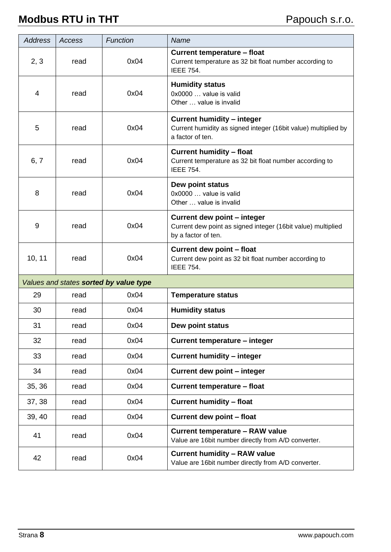| <b>Address</b> | Access                                 | Function | Name                                                                                                                    |  |  |
|----------------|----------------------------------------|----------|-------------------------------------------------------------------------------------------------------------------------|--|--|
| 2, 3           | read                                   | 0x04     | <b>Current temperature - float</b><br>Current temperature as 32 bit float number according to<br><b>IEEE 754.</b>       |  |  |
| 4              | read                                   | 0x04     | <b>Humidity status</b><br>0x0000  value is valid<br>Other  value is invalid                                             |  |  |
| 5              | read                                   | 0x04     | <b>Current humidity - integer</b><br>Current humidity as signed integer (16bit value) multiplied by<br>a factor of ten. |  |  |
| 6, 7           | read                                   | 0x04     | <b>Current humidity - float</b><br>Current temperature as 32 bit float number according to<br><b>IEEE 754.</b>          |  |  |
| 8              | read                                   | 0x04     | Dew point status<br>0x0000  value is valid<br>Other  value is invalid                                                   |  |  |
| 9              | read                                   | 0x04     | Current dew point - integer<br>Current dew point as signed integer (16bit value) multiplied<br>by a factor of ten.      |  |  |
| 10, 11         | read                                   | 0x04     | Current dew point - float<br>Current dew point as 32 bit float number according to<br><b>IEEE 754.</b>                  |  |  |
|                | Values and states sorted by value type |          |                                                                                                                         |  |  |
| 29             | read                                   | 0x04     | <b>Temperature status</b>                                                                                               |  |  |
| 30             | read                                   | 0x04     | <b>Humidity status</b>                                                                                                  |  |  |
| 31             | read                                   | 0x04     | Dew point status                                                                                                        |  |  |
| 32             | read                                   | 0x04     | Current temperature - integer                                                                                           |  |  |
| 33             | read                                   | 0x04     | <b>Current humidity - integer</b>                                                                                       |  |  |
| 34             | read                                   | 0x04     | Current dew point - integer                                                                                             |  |  |
| 35, 36         | read                                   | 0x04     | <b>Current temperature - float</b>                                                                                      |  |  |
| 37, 38         | read                                   | 0x04     | <b>Current humidity - float</b>                                                                                         |  |  |
| 39, 40         | read                                   | 0x04     | Current dew point - float                                                                                               |  |  |
| 41             | read                                   | 0x04     | <b>Current temperature - RAW value</b><br>Value are 16bit number directly from A/D converter.                           |  |  |
| 42             | read                                   | 0x04     | <b>Current humidity - RAW value</b><br>Value are 16bit number directly from A/D converter.                              |  |  |